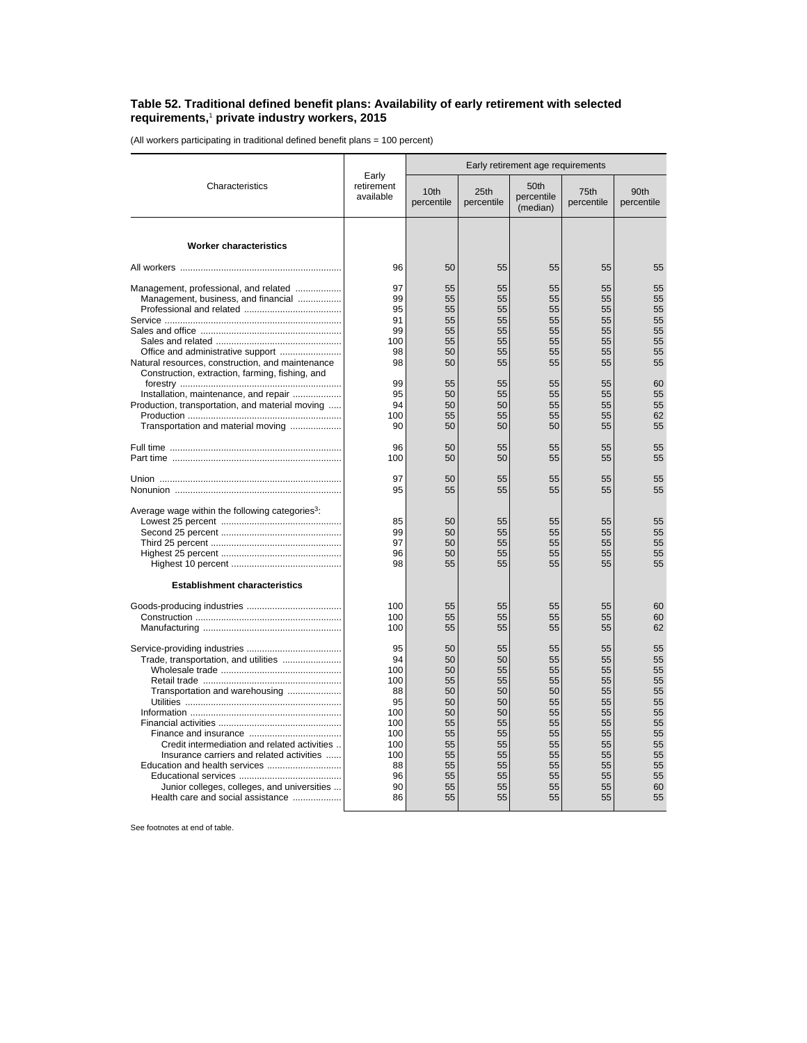## **Table 52. Traditional defined benefit plans: Availability of early retirement with selected requirements,**<sup>1</sup>  **private industry workers, 2015**

(All workers participating in traditional defined benefit plans = 100 percent)

| Characteristics                                                                                                                                                                                                                                                                 | Early<br>retirement<br>available                                                              | Early retirement age requirements                                                      |                                                                                        |                                                                                        |                                                                                        |                                                                                        |
|---------------------------------------------------------------------------------------------------------------------------------------------------------------------------------------------------------------------------------------------------------------------------------|-----------------------------------------------------------------------------------------------|----------------------------------------------------------------------------------------|----------------------------------------------------------------------------------------|----------------------------------------------------------------------------------------|----------------------------------------------------------------------------------------|----------------------------------------------------------------------------------------|
|                                                                                                                                                                                                                                                                                 |                                                                                               | 10 <sub>th</sub><br>percentile                                                         | 25th<br>percentile                                                                     | 50th<br>percentile<br>(median)                                                         | 75th<br>percentile                                                                     | 90th<br>percentile                                                                     |
| <b>Worker characteristics</b>                                                                                                                                                                                                                                                   |                                                                                               |                                                                                        |                                                                                        |                                                                                        |                                                                                        |                                                                                        |
|                                                                                                                                                                                                                                                                                 | 96                                                                                            | 50                                                                                     | 55                                                                                     | 55                                                                                     | 55                                                                                     | 55                                                                                     |
| Management, professional, and related<br>Management, business, and financial<br>Natural resources, construction, and maintenance<br>Construction, extraction, farming, fishing, and<br>Installation, maintenance, and repair<br>Production, transportation, and material moving | 97<br>99<br>95<br>91<br>99<br>100<br>98<br>98<br>99<br>95<br>94<br>100                        | 55<br>55<br>55<br>55<br>55<br>55<br>50<br>50<br>55<br>50<br>50<br>55                   | 55<br>55<br>55<br>55<br>55<br>55<br>55<br>55<br>55<br>55<br>50<br>55                   | 55<br>55<br>55<br>55<br>55<br>55<br>55<br>55<br>55<br>55<br>55<br>55                   | 55<br>55<br>55<br>55<br>55<br>55<br>55<br>55<br>55<br>55<br>55<br>55                   | 55<br>55<br>55<br>55<br>55<br>55<br>55<br>55<br>60<br>55<br>55<br>62                   |
| Transportation and material moving                                                                                                                                                                                                                                              | 90                                                                                            | 50                                                                                     | 50                                                                                     | 50                                                                                     | 55                                                                                     | 55                                                                                     |
|                                                                                                                                                                                                                                                                                 | 96<br>100                                                                                     | 50<br>50                                                                               | 55<br>50                                                                               | 55<br>55                                                                               | 55<br>55                                                                               | 55<br>55                                                                               |
|                                                                                                                                                                                                                                                                                 | 97<br>95                                                                                      | 50<br>55                                                                               | 55<br>55                                                                               | 55<br>55                                                                               | 55<br>55                                                                               | 55<br>55                                                                               |
| Average wage within the following categories <sup>3</sup> :                                                                                                                                                                                                                     | 85<br>99<br>97<br>96<br>98                                                                    | 50<br>50<br>50<br>50<br>55                                                             | 55<br>55<br>55<br>55<br>55                                                             | 55<br>55<br>55<br>55<br>55                                                             | 55<br>55<br>55<br>55<br>55                                                             | 55<br>55<br>55<br>55<br>55                                                             |
| <b>Establishment characteristics</b>                                                                                                                                                                                                                                            | 100<br>100<br>100                                                                             | 55<br>55<br>55                                                                         | 55<br>55<br>55                                                                         | 55<br>55<br>55                                                                         | 55<br>55<br>55                                                                         | 60<br>60<br>62                                                                         |
| Trade, transportation, and utilities<br>Transportation and warehousing<br>Credit intermediation and related activities<br>Insurance carriers and related activities<br>Junior colleges, colleges, and universities<br>Health care and social assistance                         | 95<br>94<br>100<br>100<br>88<br>95<br>100<br>100<br>100<br>100<br>100<br>88<br>96<br>90<br>86 | 50<br>50<br>50<br>55<br>50<br>50<br>50<br>55<br>55<br>55<br>55<br>55<br>55<br>55<br>55 | 55<br>50<br>55<br>55<br>50<br>50<br>50<br>55<br>55<br>55<br>55<br>55<br>55<br>55<br>55 | 55<br>55<br>55<br>55<br>50<br>55<br>55<br>55<br>55<br>55<br>55<br>55<br>55<br>55<br>55 | 55<br>55<br>55<br>55<br>55<br>55<br>55<br>55<br>55<br>55<br>55<br>55<br>55<br>55<br>55 | 55<br>55<br>55<br>55<br>55<br>55<br>55<br>55<br>55<br>55<br>55<br>55<br>55<br>60<br>55 |

See footnotes at end of table.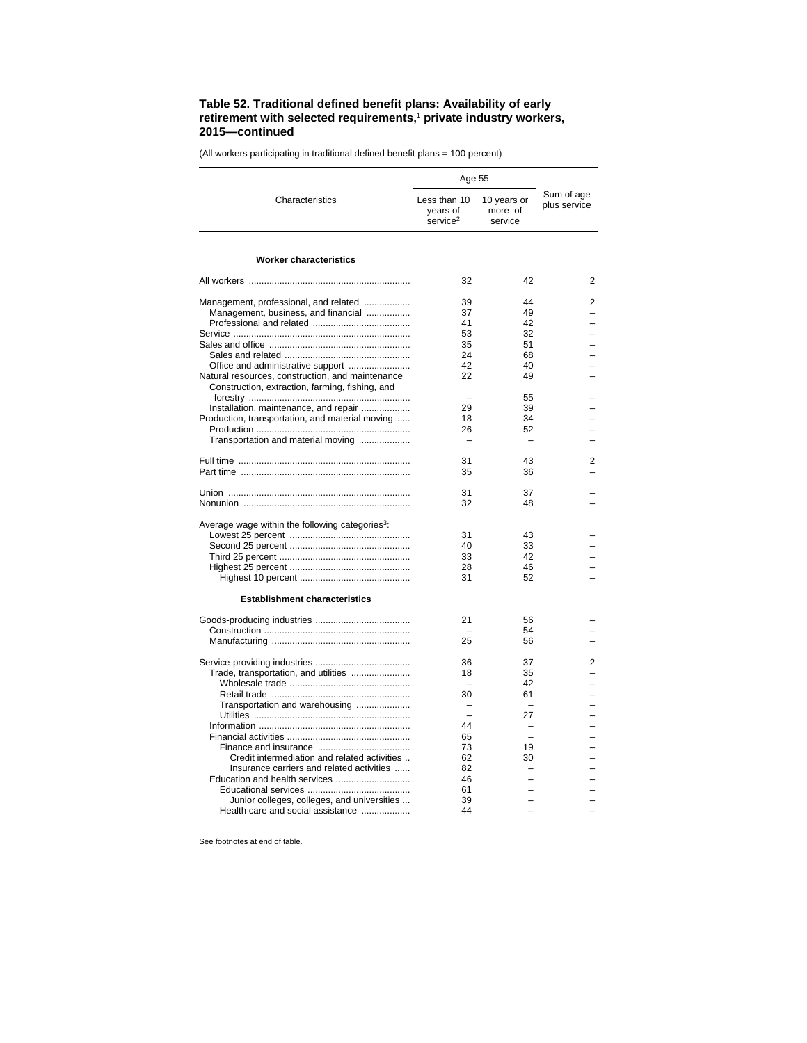## **Table 52. Traditional defined benefit plans: Availability of early retirement with selected requirements,**<sup>1</sup>  **private industry workers, 2015—continued**

**Characteristics** Age 55 Sum of age Less than 10 | 10 years or  $\vert$  blus service years of service<sup>2</sup> 10 years or more of service **Worker characteristics** All workers ............................................................... 32 42 2 Management, professional, and related .................. 39 44 2 Management, business, and financial ................. 37 49 – Professional and related ...................................... 41 42 – Service ..................................................................... 53 32 – Sales and office ....................................................... 35 51 – Sales and related ................................................. 24 68 – Office and administrative support ........................ 42 40 – Natural resources, construction, and maintenance Construction, extraction, farming, fishing, and forestry ............................................................... – 55 – Installation, maintenance, and repair ................... 29 39 – Production, transportation, and material moving ..... 18 34 – Production ............................................................ 26 52 – Transportation and material moving .....................| – – – – – – – Full time ................................................................... 31 43 2 Part time .................................................................. 35 36 – Union ....................................................................... 31 37 – Nonunion ................................................................. 32 48 – Average wage within the following categories<sup>3</sup>: Lowest 25 percent ............................................... 31 43 – Second 25 percent ............................................... 40 33 – Third 25 percent ................................................... 33 42 – Highest 25 percent ............................................... 28 46 – Highest 10 percent ........................................... 31 52 – **Establishment characteristics** Goods-producing industries ..................................... 21 56 – Construction ......................................................... – 54 – Manufacturing ...................................................... 25 56 – Service-providing industries ..................................... 36 37 2 Trade, transportation, and utilities ....................... 18 35 – Wholesale trade ............................................... – 42 – Retail trade ......... Transportation and warehousing ..................... – – – Utilities ............................................................. – 27 – Information ........................................................... 44 – – Financial activities ................................................ 65 – – Finance and insurance .................................... 73 19 – Credit intermediation and related activities ... 62<br>Insurance carriers and related activities ...... 82 Insurance carriers and related activities ......  $\begin{vmatrix} 82 & -2 \ 46 & -1 \end{vmatrix}$  -Education and health services ............................. 46 – – Educational services ........................................ 61 – – Junior colleges, colleges, and universities ... 39<br>Palth care and social assistance Health care and social assistance .........

(All workers participating in traditional defined benefit plans = 100 percent)

See footnotes at end of table.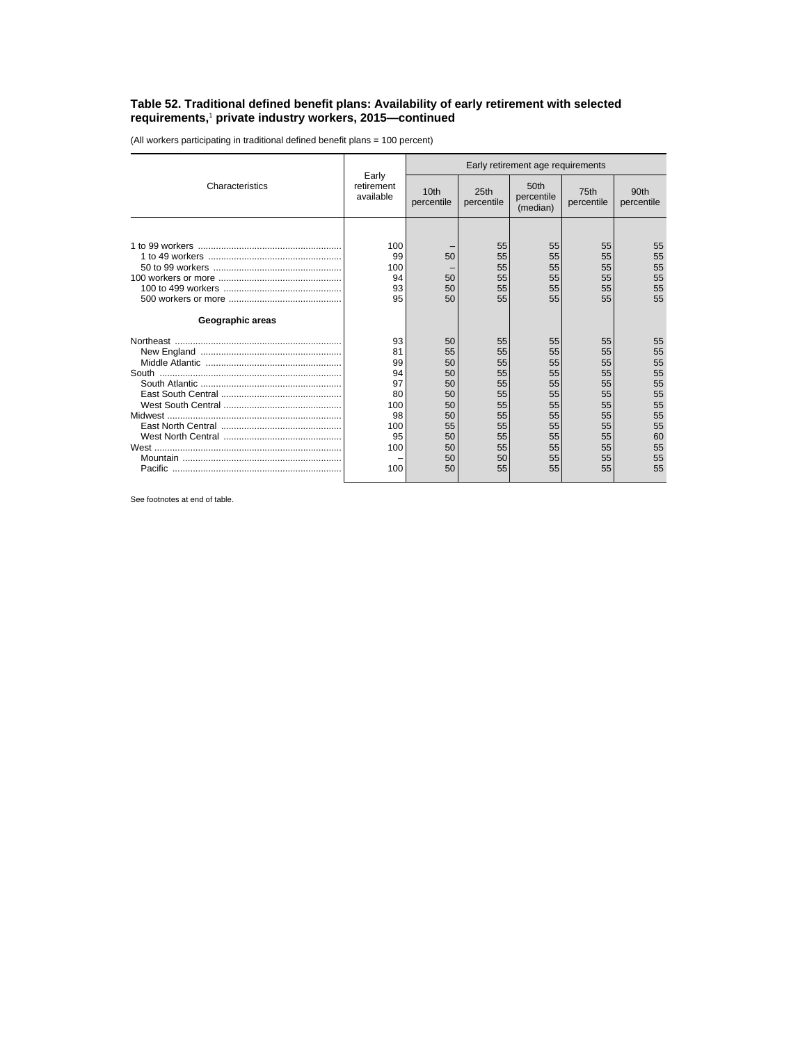## **Table 52. Traditional defined benefit plans: Availability of early retirement with selected requirements,**<sup>1</sup>  **private industry workers, 2015—continued**

(All workers participating in traditional defined benefit plans = 100 percent)

| Characteristics  | Early<br>retirement<br>available                                         | Early retirement age requirements                                          |                                                                            |                                                                            |                                                                            |                                                                            |
|------------------|--------------------------------------------------------------------------|----------------------------------------------------------------------------|----------------------------------------------------------------------------|----------------------------------------------------------------------------|----------------------------------------------------------------------------|----------------------------------------------------------------------------|
|                  |                                                                          | 10 <sub>th</sub><br>percentile                                             | 25th<br>percentile                                                         | 50 <sub>th</sub><br>percentile<br>(median)                                 | 75th<br>percentile                                                         | 90th<br>percentile                                                         |
|                  |                                                                          |                                                                            |                                                                            |                                                                            |                                                                            |                                                                            |
|                  | 100<br>99<br>100<br>94<br>93<br>95                                       | 50<br>50<br>50<br>50                                                       | 55<br>55<br>55<br>55<br>55<br>55                                           | 55<br>55<br>55<br>55<br>55<br>55                                           | 55<br>55<br>55<br>55<br>55<br>55                                           | 55<br>55<br>55<br>55<br>55<br>55                                           |
| Geographic areas |                                                                          |                                                                            |                                                                            |                                                                            |                                                                            |                                                                            |
|                  | 93<br>81<br>99<br>94<br>97<br>80<br>100<br>98<br>100<br>95<br>100<br>100 | 50<br>55<br>50<br>50<br>50<br>50<br>50<br>50<br>55<br>50<br>50<br>50<br>50 | 55<br>55<br>55<br>55<br>55<br>55<br>55<br>55<br>55<br>55<br>55<br>50<br>55 | 55<br>55<br>55<br>55<br>55<br>55<br>55<br>55<br>55<br>55<br>55<br>55<br>55 | 55<br>55<br>55<br>55<br>55<br>55<br>55<br>55<br>55<br>55<br>55<br>55<br>55 | 55<br>55<br>55<br>55<br>55<br>55<br>55<br>55<br>55<br>60<br>55<br>55<br>55 |

See footnotes at end of table.